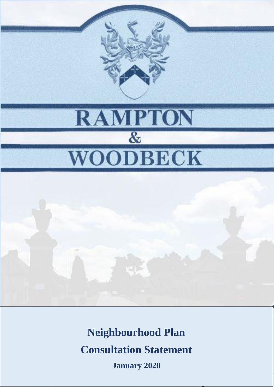

# **Neighbourhood Plan**

**Consultation Statement**

**January 2020**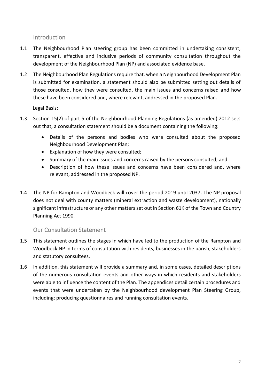Introduction

- 1.1 The Neighbourhood Plan steering group has been committed in undertaking consistent, transparent, effective and inclusive periods of community consultation throughout the development of the Neighbourhood Plan (NP) and associated evidence base.
- 1.2 The Neighbourhood Plan Regulations require that, when a Neighbourhood Development Plan is submitted for examination, a statement should also be submitted setting out details of those consulted, how they were consulted, the main issues and concerns raised and how these have been considered and, where relevant, addressed in the proposed Plan.

Legal Basis:

- 1.3 Section 15(2) of part 5 of the Neighbourhood Planning Regulations (as amended) 2012 sets out that, a consultation statement should be a document containing the following:
	- Details of the persons and bodies who were consulted about the proposed Neighbourhood Development Plan;
	- Explanation of how they were consulted;
	- Summary of the main issues and concerns raised by the persons consulted; and
	- Description of how these issues and concerns have been considered and, where relevant, addressed in the proposed NP.
- 1.4 The NP for Rampton and Woodbeck will cover the period 2019 until 2037. The NP proposal does not deal with county matters (mineral extraction and waste development), nationally significant infrastructure or any other matters set out in Section 61K of the Town and Country Planning Act 1990.

#### Our Consultation Statement

- 1.5 This statement outlines the stages in which have led to the production of the Rampton and Woodbeck NP in terms of consultation with residents, businesses in the parish, stakeholders and statutory consultees.
- 1.6 In addition, this statement will provide a summary and, in some cases, detailed descriptions of the numerous consultation events and other ways in which residents and stakeholders were able to influence the content of the Plan. The appendices detail certain procedures and events that were undertaken by the Neighbourhood development Plan Steering Group, including; producing questionnaires and running consultation events.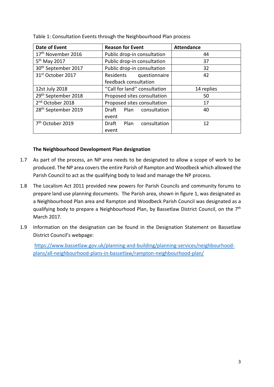| <b>Date of Event</b>            | <b>Reason for Event</b>              | <b>Attendance</b> |
|---------------------------------|--------------------------------------|-------------------|
| 17 <sup>th</sup> November 2016  | Public drop-in consultation          | 44                |
| 5 <sup>th</sup> May 2017        | Public drop-in consultation          | 37                |
| 30 <sup>th</sup> September 2017 | Public drop-in consultation          | 32                |
| 31st October 2017               | Residents<br>questionnaire           | 42                |
|                                 | feedback consultation                |                   |
| 12st July 2018                  | "Call for land" consultation         | 14 replies        |
| 29th September 2018             | Proposed sites consultation          | 50                |
| 2 <sup>nd</sup> October 2018    | Proposed sites consultation          | 17                |
| 28 <sup>th</sup> September 2019 | Plan<br>consultation<br>Draft        | 40                |
|                                 | event                                |                   |
| 7 <sup>th</sup> October 2019    | Plan<br>consultation<br><b>Draft</b> | 12                |
|                                 | event                                |                   |

Table 1: Consultation Events through the Neighbourhood Plan process

#### **The Neighbourhood Development Plan designation**

- 1.7 As part of the process, an NP area needs to be designated to allow a scope of work to be produced. The NP area covers the entire Parish of Rampton and Woodbeck which allowed the Parish Council to act as the qualifying body to lead and manage the NP process.
- 1.8 The Localism Act 2011 provided new powers for Parish Councils and community forums to prepare land use planning documents. The Parish area, shown in figure 1, was designated as a Neighbourhood Plan area and Rampton and Woodbeck Parish Council was designated as a qualifying body to prepare a Neighbourhood Plan, by Bassetlaw District Council, on the 7<sup>th</sup> March 2017.
- 1.9 Information on the designation can be found in the Designation Statement on Bassetlaw District Council's webpage:

[https://www.bassetlaw.gov.uk/planning-and-building/planning-services/neighbourhood](https://www.bassetlaw.gov.uk/planning-and-building/planning-services/neighbourhood-plans/all-neighbourhood-plans-in-bassetlaw/rampton-neighbourhood-plan/)[plans/all-neighbourhood-plans-in-bassetlaw/rampton-neighbourhood-plan/](https://www.bassetlaw.gov.uk/planning-and-building/planning-services/neighbourhood-plans/all-neighbourhood-plans-in-bassetlaw/rampton-neighbourhood-plan/)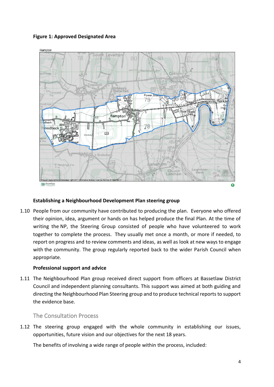#### **Figure 1: Approved Designated Area**



#### **Establishing a Neighbourhood Development Plan steering group**

1.10 People from our community have contributed to producing the plan. Everyone who offered their opinion, idea, argument or hands on has helped produce the final Plan. At the time of writing the NP, the Steering Group consisted of people who have volunteered to work together to complete the process. They usually met once a month, or more if needed, to report on progress and to review comments and ideas, as well as look at new ways to engage with the community. The group regularly reported back to the wider Parish Council when appropriate.

#### **Professional support and advice**

1.11 The Neighbourhood Plan group received direct support from officers at Bassetlaw District Council and independent planning consultants. This support was aimed at both guiding and directing the Neighbourhood Plan Steering group and to produce technical reports to support the evidence base.

The Consultation Process

1.12 The steering group engaged with the whole community in establishing our issues, opportunities, future vision and our objectives for the next 18 years.

The benefits of involving a wide range of people within the process, included: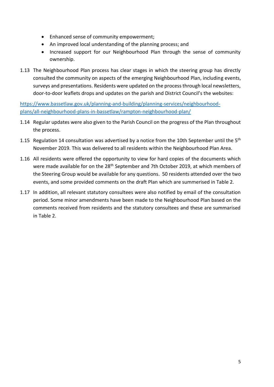- Enhanced sense of community empowerment;
- An improved local understanding of the planning process; and
- Increased support for our Neighbourhood Plan through the sense of community ownership.
- 1.13 The Neighbourhood Plan process has clear stages in which the steering group has directly consulted the community on aspects of the emerging Neighbourhood Plan, including events, surveys and presentations. Residents were updated on the process through local newsletters, door-to-door leaflets drops and updates on the parish and District Council's the websites:

[https://www.bassetlaw.gov.uk/planning-and-building/planning-services/neighbourhood](https://www.bassetlaw.gov.uk/planning-and-building/planning-services/neighbourhood-plans/all-neighbourhood-plans-in-bassetlaw/rampton-neighbourhood-plan/)[plans/all-neighbourhood-plans-in-bassetlaw/rampton-neighbourhood-plan/](https://www.bassetlaw.gov.uk/planning-and-building/planning-services/neighbourhood-plans/all-neighbourhood-plans-in-bassetlaw/rampton-neighbourhood-plan/)

- 1.14 Regular updates were also given to the Parish Council on the progress of the Plan throughout the process.
- 1.15 Regulation 14 consultation was advertised by a notice from the 10th September until the  $5<sup>th</sup>$ November 2019. This was delivered to all residents within the Neighbourhood Plan Area.
- 1.16 All residents were offered the opportunity to view for hard copies of the documents which were made available for on the 28<sup>th</sup> September and 7th October 2019, at which members of the Steering Group would be available for any questions. 50 residents attended over the two events, and some provided comments on the draft Plan which are summerised in Table 2.
- 1.17 In addition, all relevant statutory consultees were also notified by email of the consultation period. Some minor amendments have been made to the Neighbourhood Plan based on the comments received from residents and the statutory consultees and these are summarised in Table 2.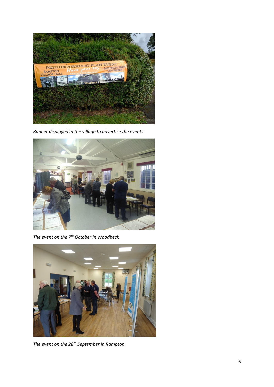

*Banner displayed in the village to advertise the events*



*The event on the 7th October in Woodbeck*



*The event on the 28th September in Rampton*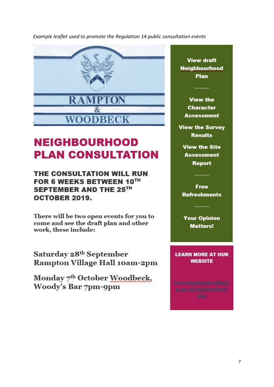*Example leaflet used to promote the Regulation 14 public consultation events* 



## **NEIGHBOURHOOD PLAN CONSULTATION**

THE CONSULTATION WILL RUN FOR 6 WEEKS BETWEEN 10TH SEPTEMBER AND THE 25TH **OCTOBER 2019.** 

There will be two open events for you to come and see the draft plan and other work, these include:

Saturday 28th September **Rampton Village Hall 10am-2pm** 

Monday 7th October Woodbeck, Woody's Bar 7pm-9pm

**View draft Neighbourhood** Plan

**View the Character Assessment** 

**View the Survey Results** 

**View the Site Assessment** Report

**Free Refreshments** 

**Your Opinion Matters!** 

**LEARN MORE AT OUR WEBSITE**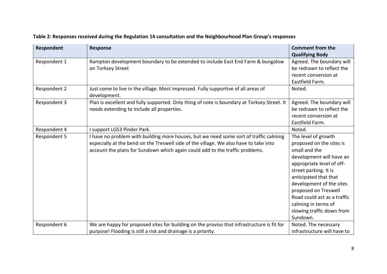| <b>Respondent</b> | <b>Response</b>                                                                                                                                                                                                                                                | <b>Comment from the</b><br><b>Qualifying Body</b>                                                                                                                                                                                                                                                                              |
|-------------------|----------------------------------------------------------------------------------------------------------------------------------------------------------------------------------------------------------------------------------------------------------------|--------------------------------------------------------------------------------------------------------------------------------------------------------------------------------------------------------------------------------------------------------------------------------------------------------------------------------|
| Respondent 1      | Rampton development boundary to be extended to include East End Farm & bungalow<br>on Torksey Street                                                                                                                                                           | Agreed. The boundary will<br>be redrawn to reflect the<br>recent conversion at<br>Eastfield Farm.                                                                                                                                                                                                                              |
| Respondent 2      | Just come to live in the village. Most impressed. Fully supportive of all areas of<br>development.                                                                                                                                                             | Noted.                                                                                                                                                                                                                                                                                                                         |
| Respondent 3      | Plan is excellent and fully supported. Only thing of note is boundary at Torksey Street. It<br>needs extending to include all properties.                                                                                                                      | Agreed. The boundary will<br>be redrawn to reflect the<br>recent conversion at<br>Eastfield Farm.                                                                                                                                                                                                                              |
| Respondent 4      | I support LGS3 Pinder Park.                                                                                                                                                                                                                                    | Noted.                                                                                                                                                                                                                                                                                                                         |
| Respondent 5      | I have no problem with building more houses, but we need some sort of traffic calming<br>especially at the bend on the Treswell side of the village. We also have to take into<br>account the plans for Sundown which again could add to the traffic problems. | The level of growth<br>proposed on the sites is<br>small and the<br>development will have an<br>appropriate level of off-<br>street parking. It is<br>anticipated that that<br>development of the sites<br>proposed on Treswell<br>Road could act as a traffic<br>calming in terms of<br>slowing traffic down from<br>Sundown. |
| Respondent 6      | We are happy for proposed sites for building on the proviso that infrastructure is fit for                                                                                                                                                                     | Noted. The necessary                                                                                                                                                                                                                                                                                                           |
|                   | purpose! Flooding is still a risk and drainage is a priority.                                                                                                                                                                                                  | infrastructure will have to                                                                                                                                                                                                                                                                                                    |

### **Table 2: Responses received during the Regulation 14 consultation and the Neighbourhood Plan Group's responses**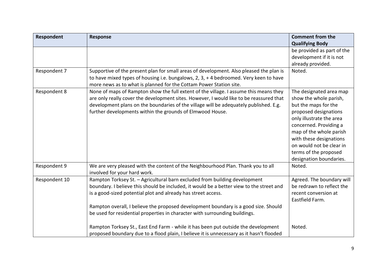| Respondent    | <b>Response</b>                                                                          | <b>Comment from the</b>    |
|---------------|------------------------------------------------------------------------------------------|----------------------------|
|               |                                                                                          | <b>Qualifying Body</b>     |
|               |                                                                                          | be provided as part of the |
|               |                                                                                          | development if it is not   |
|               |                                                                                          | already provided.          |
| Respondent 7  | Supportive of the present plan for small areas of development. Also pleased the plan is  | Noted.                     |
|               | to have mixed types of housing i.e. bungalows, 2, 3, +4 bedroomed. Very keen to have     |                            |
|               | more news as to what is planned for the Cottam Power Station site.                       |                            |
| Respondent 8  | None of maps of Rampton show the full extent of the village. I assume this means they    | The designated area map    |
|               | are only really cover the development sites. However, I would like to be reassured that  | show the whole parish,     |
|               | development plans on the boundaries of the village will be adequately published. E.g.    | but the maps for the       |
|               | further developments within the grounds of Elmwood House.                                | proposed designations      |
|               |                                                                                          | only illustrate the area   |
|               |                                                                                          | concerned. Providing a     |
|               |                                                                                          | map of the whole parish    |
|               |                                                                                          | with these designations    |
|               |                                                                                          | on would not be clear in   |
|               |                                                                                          | terms of the proposed      |
|               |                                                                                          | designation boundaries.    |
| Respondent 9  | We are very pleased with the content of the Neighbourhood Plan. Thank you to all         | Noted.                     |
|               | involved for your hard work.                                                             |                            |
| Respondent 10 | Rampton Torksey St. - Agricultural barn excluded from building development               | Agreed. The boundary will  |
|               | boundary. I believe this should be included, it would be a better view to the street and | be redrawn to reflect the  |
|               | is a good-sized potential plot and already has street access.                            | recent conversion at       |
|               |                                                                                          | Eastfield Farm.            |
|               | Rampton overall, I believe the proposed development boundary is a good size. Should      |                            |
|               | be used for residential properties in character with surrounding buildings.              |                            |
|               |                                                                                          |                            |
|               | Rampton Torksey St., East End Farm - while it has been put outside the development       | Noted.                     |
|               | proposed boundary due to a flood plain, I believe it is unnecessary as it hasn't flooded |                            |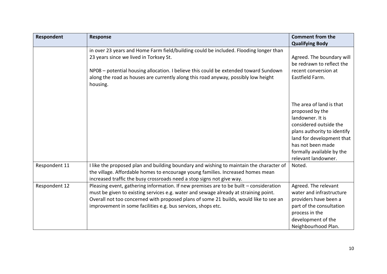| Respondent    | <b>Response</b>                                                                                                                                                                                                                                                                                                                         | <b>Comment from the</b><br><b>Qualifying Body</b>                                                                                                                                                                              |
|---------------|-----------------------------------------------------------------------------------------------------------------------------------------------------------------------------------------------------------------------------------------------------------------------------------------------------------------------------------------|--------------------------------------------------------------------------------------------------------------------------------------------------------------------------------------------------------------------------------|
|               | in over 23 years and Home Farm field/building could be included. Flooding longer than<br>23 years since we lived in Torksey St.<br>NP08 - potential housing allocation. I believe this could be extended toward Sundown<br>along the road as houses are currently along this road anyway, possibly low height<br>housing.               | Agreed. The boundary will<br>be redrawn to reflect the<br>recent conversion at<br>Eastfield Farm.                                                                                                                              |
|               |                                                                                                                                                                                                                                                                                                                                         | The area of land is that<br>proposed by the<br>landowner. It is<br>considered outside the<br>plans authority to identify<br>land for development that<br>has not been made<br>formally available by the<br>relevant landowner. |
| Respondent 11 | I like the proposed plan and building boundary and wishing to maintain the character of<br>the village. Affordable homes to encourage young families. Increased homes mean<br>increased traffic the busy crossroads need a stop signs not give way.                                                                                     | Noted.                                                                                                                                                                                                                         |
| Respondent 12 | Pleasing event, gathering information. If new premises are to be built - consideration<br>must be given to existing services e.g. water and sewage already at straining point.<br>Overall not too concerned with proposed plans of some 21 builds, would like to see an<br>improvement in some facilities e.g. bus services, shops etc. | Agreed. The relevant<br>water and infrastructure<br>providers have been a<br>part of the consultation<br>process in the<br>development of the<br>Neighbourhood Plan.                                                           |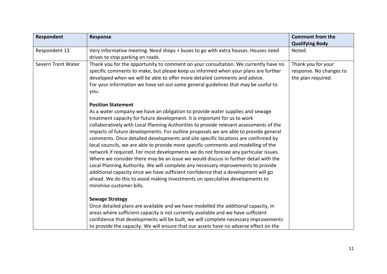| Respondent         | <b>Response</b>                                                                                                                                                                                                                                                                                                                                                                                                                                                                                                                                                                                                                                                                                                                                                                                                                                                                                                                                                                            | <b>Comment from the</b><br><b>Qualifying Body</b>                   |
|--------------------|--------------------------------------------------------------------------------------------------------------------------------------------------------------------------------------------------------------------------------------------------------------------------------------------------------------------------------------------------------------------------------------------------------------------------------------------------------------------------------------------------------------------------------------------------------------------------------------------------------------------------------------------------------------------------------------------------------------------------------------------------------------------------------------------------------------------------------------------------------------------------------------------------------------------------------------------------------------------------------------------|---------------------------------------------------------------------|
| Respondent 13      | Very informative meeting. Need shops + buses to go with extra houses. Houses need<br>drives to stop parking on roads.                                                                                                                                                                                                                                                                                                                                                                                                                                                                                                                                                                                                                                                                                                                                                                                                                                                                      | Noted.                                                              |
| Severn Trent Water | Thank you for the opportunity to comment on your consultation. We currently have no<br>specific comments to make, but please keep us informed when your plans are further<br>developed when we will be able to offer more detailed comments and advice.<br>For your information we have set out some general guidelines that may be useful to<br>you.<br><b>Position Statement</b>                                                                                                                                                                                                                                                                                                                                                                                                                                                                                                                                                                                                         | Thank you for your<br>response. No changes to<br>the plan required. |
|                    | As a water company we have an obligation to provide water supplies and sewage<br>treatment capacity for future development. It is important for us to work<br>collaboratively with Local Planning Authorities to provide relevant assessments of the<br>impacts of future developments. For outline proposals we are able to provide general<br>comments. Once detailed developments and site specific locations are confirmed by<br>local councils, we are able to provide more specific comments and modelling of the<br>network if required. For most developments we do not foresee any particular issues.<br>Where we consider there may be an issue we would discuss in further detail with the<br>Local Planning Authority. We will complete any necessary improvements to provide<br>additional capacity once we have sufficient confidence that a development will go<br>ahead. We do this to avoid making investments on speculative developments to<br>minimise customer bills. |                                                                     |
|                    | <b>Sewage Strategy</b><br>Once detailed plans are available and we have modelled the additional capacity, in<br>areas where sufficient capacity is not currently available and we have sufficient<br>confidence that developments will be built, we will complete necessary improvements<br>to provide the capacity. We will ensure that our assets have no adverse effect on the                                                                                                                                                                                                                                                                                                                                                                                                                                                                                                                                                                                                          |                                                                     |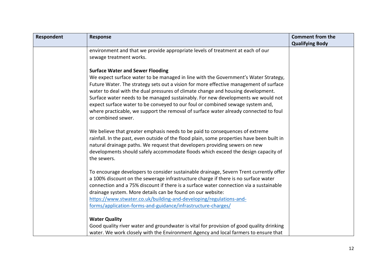| Respondent | <b>Response</b>                                                                                                                                                                                                                                                                                                                                                                                                                                                                                                                                                                                 | <b>Comment from the</b> |
|------------|-------------------------------------------------------------------------------------------------------------------------------------------------------------------------------------------------------------------------------------------------------------------------------------------------------------------------------------------------------------------------------------------------------------------------------------------------------------------------------------------------------------------------------------------------------------------------------------------------|-------------------------|
|            |                                                                                                                                                                                                                                                                                                                                                                                                                                                                                                                                                                                                 | <b>Qualifying Body</b>  |
|            | environment and that we provide appropriate levels of treatment at each of our<br>sewage treatment works.                                                                                                                                                                                                                                                                                                                                                                                                                                                                                       |                         |
|            | <b>Surface Water and Sewer Flooding</b><br>We expect surface water to be managed in line with the Government's Water Strategy,<br>Future Water. The strategy sets out a vision for more effective management of surface<br>water to deal with the dual pressures of climate change and housing development.<br>Surface water needs to be managed sustainably. For new developments we would not<br>expect surface water to be conveyed to our foul or combined sewage system and,<br>where practicable, we support the removal of surface water already connected to foul<br>or combined sewer. |                         |
|            | We believe that greater emphasis needs to be paid to consequences of extreme<br>rainfall. In the past, even outside of the flood plain, some properties have been built in<br>natural drainage paths. We request that developers providing sewers on new<br>developments should safely accommodate floods which exceed the design capacity of<br>the sewers.                                                                                                                                                                                                                                    |                         |
|            | To encourage developers to consider sustainable drainage, Severn Trent currently offer<br>a 100% discount on the sewerage infrastructure charge if there is no surface water<br>connection and a 75% discount if there is a surface water connection via a sustainable<br>drainage system. More details can be found on our website:<br>https://www.stwater.co.uk/building-and-developing/regulations-and-<br>forms/application-forms-and-guidance/infrastructure-charges/                                                                                                                      |                         |
|            | <b>Water Quality</b><br>Good quality river water and groundwater is vital for provision of good quality drinking<br>water. We work closely with the Environment Agency and local farmers to ensure that                                                                                                                                                                                                                                                                                                                                                                                         |                         |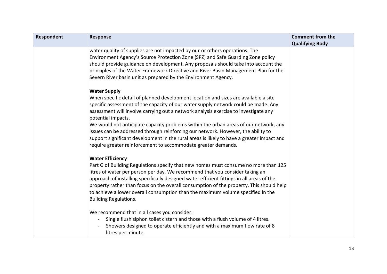| Respondent | <b>Response</b>                                                                                                                                                                                                                                                                                                                                                                                                                                                                                                                                                                                                                                         | <b>Comment from the</b> |
|------------|---------------------------------------------------------------------------------------------------------------------------------------------------------------------------------------------------------------------------------------------------------------------------------------------------------------------------------------------------------------------------------------------------------------------------------------------------------------------------------------------------------------------------------------------------------------------------------------------------------------------------------------------------------|-------------------------|
|            |                                                                                                                                                                                                                                                                                                                                                                                                                                                                                                                                                                                                                                                         | <b>Qualifying Body</b>  |
|            | water quality of supplies are not impacted by our or others operations. The<br>Environment Agency's Source Protection Zone (SPZ) and Safe Guarding Zone policy<br>should provide guidance on development. Any proposals should take into account the<br>principles of the Water Framework Directive and River Basin Management Plan for the<br>Severn River basin unit as prepared by the Environment Agency.                                                                                                                                                                                                                                           |                         |
|            | <b>Water Supply</b><br>When specific detail of planned development location and sizes are available a site<br>specific assessment of the capacity of our water supply network could be made. Any<br>assessment will involve carrying out a network analysis exercise to investigate any<br>potential impacts.<br>We would not anticipate capacity problems within the urban areas of our network, any<br>issues can be addressed through reinforcing our network. However, the ability to<br>support significant development in the rural areas is likely to have a greater impact and<br>require greater reinforcement to accommodate greater demands. |                         |
|            | <b>Water Efficiency</b><br>Part G of Building Regulations specify that new homes must consume no more than 125<br>litres of water per person per day. We recommend that you consider taking an<br>approach of installing specifically designed water efficient fittings in all areas of the<br>property rather than focus on the overall consumption of the property. This should help<br>to achieve a lower overall consumption than the maximum volume specified in the<br><b>Building Regulations.</b>                                                                                                                                               |                         |
|            | We recommend that in all cases you consider:<br>Single flush siphon toilet cistern and those with a flush volume of 4 litres.<br>Showers designed to operate efficiently and with a maximum flow rate of 8<br>litres per minute.                                                                                                                                                                                                                                                                                                                                                                                                                        |                         |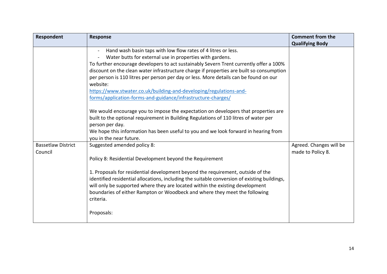| Respondent                           | <b>Response</b>                                                                                                                                                                                                                                                                                                                                                                                                                                                                                                                                                                                                                                                                                                                                                                                                                                    | <b>Comment from the</b><br><b>Qualifying Body</b> |
|--------------------------------------|----------------------------------------------------------------------------------------------------------------------------------------------------------------------------------------------------------------------------------------------------------------------------------------------------------------------------------------------------------------------------------------------------------------------------------------------------------------------------------------------------------------------------------------------------------------------------------------------------------------------------------------------------------------------------------------------------------------------------------------------------------------------------------------------------------------------------------------------------|---------------------------------------------------|
|                                      | Hand wash basin taps with low flow rates of 4 litres or less.<br>Water butts for external use in properties with gardens.<br>To further encourage developers to act sustainably Severn Trent currently offer a 100%<br>discount on the clean water infrastructure charge if properties are built so consumption<br>per person is 110 litres per person per day or less. More details can be found on our<br>website:<br>https://www.stwater.co.uk/building-and-developing/regulations-and-<br>forms/application-forms-and-guidance/infrastructure-charges/<br>We would encourage you to impose the expectation on developers that properties are<br>built to the optional requirement in Building Regulations of 110 litres of water per<br>person per day.<br>We hope this information has been useful to you and we look forward in hearing from |                                                   |
| <b>Bassetlaw District</b><br>Council | you in the near future.<br>Suggested amended policy 8:<br>Policy 8: Residential Development beyond the Requirement<br>1. Proposals for residential development beyond the requirement, outside of the<br>identified residential allocations, including the suitable conversion of existing buildings,<br>will only be supported where they are located within the existing development<br>boundaries of either Rampton or Woodbeck and where they meet the following<br>criteria.<br>Proposals:                                                                                                                                                                                                                                                                                                                                                    | Agreed. Changes will be<br>made to Policy 8.      |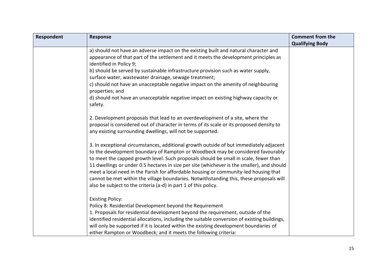| Respondent | <b>Response</b>                                                                                                                                                                                                                                                                                                                                                                                                                                                                                                                                                                                                       | <b>Comment from the</b> |
|------------|-----------------------------------------------------------------------------------------------------------------------------------------------------------------------------------------------------------------------------------------------------------------------------------------------------------------------------------------------------------------------------------------------------------------------------------------------------------------------------------------------------------------------------------------------------------------------------------------------------------------------|-------------------------|
|            |                                                                                                                                                                                                                                                                                                                                                                                                                                                                                                                                                                                                                       | <b>Qualifying Body</b>  |
|            | a) should not have an adverse impact on the existing built and natural character and                                                                                                                                                                                                                                                                                                                                                                                                                                                                                                                                  |                         |
|            | appearance of that part of the settlement and it meets the development principles as<br>identified in Policy 9;                                                                                                                                                                                                                                                                                                                                                                                                                                                                                                       |                         |
|            | b) should be served by sustainable infrastructure provision such as water supply,<br>surface water, wastewater drainage, sewage treatment;                                                                                                                                                                                                                                                                                                                                                                                                                                                                            |                         |
|            | c) should not have an unacceptable negative impact on the amenity of neighbouring<br>properties; and                                                                                                                                                                                                                                                                                                                                                                                                                                                                                                                  |                         |
|            | d) should not have an unacceptable negative impact on existing highway capacity or<br>safety.                                                                                                                                                                                                                                                                                                                                                                                                                                                                                                                         |                         |
|            | 2. Development proposals that lead to an overdevelopment of a site, where the<br>proposal is considered out of character in terms of its scale or its proposed density to<br>any existing surrounding dwellings, will not be supported.                                                                                                                                                                                                                                                                                                                                                                               |                         |
|            | 3. In exceptional circumstances, additional growth outside of but immediately adjacent<br>to the development boundary of Rampton or Woodbeck may be considered favourably<br>to meet the capped growth level. Such proposals should be small in scale, fewer than<br>11 dwellings or under 0.5 hectares in size per site (whichever is the smaller), and should<br>meet a local need in the Parish for affordable housing or community-led housing that<br>cannot be met within the village boundaries. Notwithstanding this, these proposals will<br>also be subject to the criteria (a-d) in part 1 of this policy. |                         |
|            | <b>Existing Policy:</b><br>Policy 8: Residential Development beyond the Requirement<br>1. Proposals for residential development beyond the requirement, outside of the<br>identified residential allocations, including the suitable conversion of existing buildings,<br>will only be supported if it is located within the existing development boundaries of<br>either Rampton or Woodbeck; and it meets the following criteria:                                                                                                                                                                                   |                         |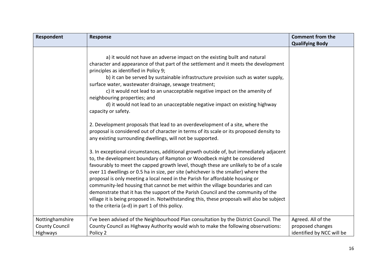| a) it would not have an adverse impact on the existing built and natural<br>character and appearance of that part of the settlement and it meets the development<br>principles as identified in Policy 9;<br>b) it can be served by sustainable infrastructure provision such as water supply,<br>surface water, wastewater drainage, sewage treatment;<br>c) it would not lead to an unacceptable negative impact on the amenity of<br>neighbouring properties; and<br>d) it would not lead to an unacceptable negative impact on existing highway<br>capacity or safety.                                                                                                                                                                                                                                                  | Respondent<br><b>Response</b> | <b>Comment from the</b><br><b>Qualifying Body</b> |
|-----------------------------------------------------------------------------------------------------------------------------------------------------------------------------------------------------------------------------------------------------------------------------------------------------------------------------------------------------------------------------------------------------------------------------------------------------------------------------------------------------------------------------------------------------------------------------------------------------------------------------------------------------------------------------------------------------------------------------------------------------------------------------------------------------------------------------|-------------------------------|---------------------------------------------------|
| 2. Development proposals that lead to an overdevelopment of a site, where the<br>proposal is considered out of character in terms of its scale or its proposed density to                                                                                                                                                                                                                                                                                                                                                                                                                                                                                                                                                                                                                                                   |                               |                                                   |
| any existing surrounding dwellings, will not be supported.<br>3. In exceptional circumstances, additional growth outside of, but immediately adjacent<br>to, the development boundary of Rampton or Woodbeck might be considered<br>favourably to meet the capped growth level, though these are unlikely to be of a scale<br>over 11 dwellings or 0.5 ha in size, per site (whichever is the smaller) where the<br>proposal is only meeting a local need in the Parish for affordable housing or<br>community-led housing that cannot be met within the village boundaries and can<br>demonstrate that it has the support of the Parish Council and the community of the<br>village it is being proposed in. Notwithstanding this, these proposals will also be subject<br>to the criteria (a-d) in part 1 of this policy. |                               |                                                   |
| Nottinghamshire<br>I've been advised of the Neighbourhood Plan consultation by the District Council. The<br>Agreed. All of the<br>County Council as Highway Authority would wish to make the following observations:<br><b>County Council</b><br>proposed changes<br>Highways<br>Policy 2                                                                                                                                                                                                                                                                                                                                                                                                                                                                                                                                   |                               | identified by NCC will be                         |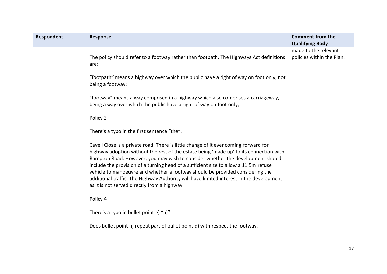| Respondent | <b>Response</b>                                                                                                                                                                                                                                                                                                                                                                                                                                                                                                                                                                      | <b>Comment from the</b>                           |
|------------|--------------------------------------------------------------------------------------------------------------------------------------------------------------------------------------------------------------------------------------------------------------------------------------------------------------------------------------------------------------------------------------------------------------------------------------------------------------------------------------------------------------------------------------------------------------------------------------|---------------------------------------------------|
|            |                                                                                                                                                                                                                                                                                                                                                                                                                                                                                                                                                                                      | <b>Qualifying Body</b>                            |
|            | The policy should refer to a footway rather than footpath. The Highways Act definitions<br>are:                                                                                                                                                                                                                                                                                                                                                                                                                                                                                      | made to the relevant<br>policies within the Plan. |
|            | "footpath" means a highway over which the public have a right of way on foot only, not<br>being a footway;                                                                                                                                                                                                                                                                                                                                                                                                                                                                           |                                                   |
|            | "footway" means a way comprised in a highway which also comprises a carriageway,<br>being a way over which the public have a right of way on foot only;                                                                                                                                                                                                                                                                                                                                                                                                                              |                                                   |
|            | Policy 3                                                                                                                                                                                                                                                                                                                                                                                                                                                                                                                                                                             |                                                   |
|            | There's a typo in the first sentence "the".                                                                                                                                                                                                                                                                                                                                                                                                                                                                                                                                          |                                                   |
|            | Cavell Close is a private road. There is little change of it ever coming forward for<br>highway adoption without the rest of the estate being 'made up' to its connection with<br>Rampton Road. However, you may wish to consider whether the development should<br>include the provision of a turning head of a sufficient size to allow a 11.5m refuse<br>vehicle to manoeuvre and whether a footway should be provided considering the<br>additional traffic. The Highway Authority will have limited interest in the development<br>as it is not served directly from a highway. |                                                   |
|            | Policy 4                                                                                                                                                                                                                                                                                                                                                                                                                                                                                                                                                                             |                                                   |
|            | There's a typo in bullet point e) "h)".                                                                                                                                                                                                                                                                                                                                                                                                                                                                                                                                              |                                                   |
|            | Does bullet point h) repeat part of bullet point d) with respect the footway.                                                                                                                                                                                                                                                                                                                                                                                                                                                                                                        |                                                   |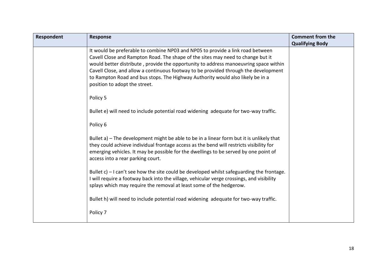| Respondent | <b>Response</b>                                                                                                                                                                                                                                                                                                                                                                                                                                                     | <b>Comment from the</b><br><b>Qualifying Body</b> |
|------------|---------------------------------------------------------------------------------------------------------------------------------------------------------------------------------------------------------------------------------------------------------------------------------------------------------------------------------------------------------------------------------------------------------------------------------------------------------------------|---------------------------------------------------|
|            | It would be preferable to combine NP03 and NP05 to provide a link road between<br>Cavell Close and Rampton Road. The shape of the sites may need to change but it<br>would better distribute, provide the opportunity to address manoeuvring space within<br>Cavell Close, and allow a continuous footway to be provided through the development<br>to Rampton Road and bus stops. The Highway Authority would also likely be in a<br>position to adopt the street. |                                                   |
|            | Policy 5                                                                                                                                                                                                                                                                                                                                                                                                                                                            |                                                   |
|            | Bullet e) will need to include potential road widening adequate for two-way traffic.                                                                                                                                                                                                                                                                                                                                                                                |                                                   |
|            | Policy 6                                                                                                                                                                                                                                                                                                                                                                                                                                                            |                                                   |
|            | Bullet a) – The development might be able to be in a linear form but it is unlikely that<br>they could achieve individual frontage access as the bend will restricts visibility for<br>emerging vehicles. It may be possible for the dwellings to be served by one point of<br>access into a rear parking court.                                                                                                                                                    |                                                   |
|            | Bullet $c$ ) – I can't see how the site could be developed whilst safeguarding the frontage.<br>I will require a footway back into the village, vehicular verge crossings, and visibility<br>splays which may require the removal at least some of the hedgerow.                                                                                                                                                                                                    |                                                   |
|            | Bullet h) will need to include potential road widening adequate for two-way traffic.                                                                                                                                                                                                                                                                                                                                                                                |                                                   |
|            | Policy 7                                                                                                                                                                                                                                                                                                                                                                                                                                                            |                                                   |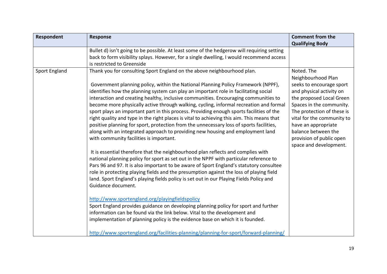| Respondent           | Response                                                                                                                                                                                                                                                                                                                                                                                                                                                                                                                                                                                                                                                                                                                                                                                                                                                | <b>Comment from the</b>                                                                                                                                                                                                                                                                |
|----------------------|---------------------------------------------------------------------------------------------------------------------------------------------------------------------------------------------------------------------------------------------------------------------------------------------------------------------------------------------------------------------------------------------------------------------------------------------------------------------------------------------------------------------------------------------------------------------------------------------------------------------------------------------------------------------------------------------------------------------------------------------------------------------------------------------------------------------------------------------------------|----------------------------------------------------------------------------------------------------------------------------------------------------------------------------------------------------------------------------------------------------------------------------------------|
|                      | Bullet d) isn't going to be possible. At least some of the hedgerow will requiring setting                                                                                                                                                                                                                                                                                                                                                                                                                                                                                                                                                                                                                                                                                                                                                              | <b>Qualifying Body</b>                                                                                                                                                                                                                                                                 |
|                      | back to form visibility splays. However, for a single dwelling, I would recommend access                                                                                                                                                                                                                                                                                                                                                                                                                                                                                                                                                                                                                                                                                                                                                                |                                                                                                                                                                                                                                                                                        |
|                      | is restricted to Greenside                                                                                                                                                                                                                                                                                                                                                                                                                                                                                                                                                                                                                                                                                                                                                                                                                              |                                                                                                                                                                                                                                                                                        |
| <b>Sport England</b> | Thank you for consulting Sport England on the above neighbourhood plan.<br>Government planning policy, within the National Planning Policy Framework (NPPF),<br>identifies how the planning system can play an important role in facilitating social<br>interaction and creating healthy, inclusive communities. Encouraging communities to<br>become more physically active through walking, cycling, informal recreation and formal<br>sport plays an important part in this process. Providing enough sports facilities of the<br>right quality and type in the right places is vital to achieving this aim. This means that<br>positive planning for sport, protection from the unnecessary loss of sports facilities,<br>along with an integrated approach to providing new housing and employment land<br>with community facilities is important. | Noted. The<br>Neighbourhood Plan<br>seeks to encourage sport<br>and physical activity on<br>the proposed Local Green<br>Spaces in the community.<br>The protection of these is<br>vital for the community to<br>have an appropriate<br>balance between the<br>provision of public open |
|                      | It is essential therefore that the neighbourhood plan reflects and complies with<br>national planning policy for sport as set out in the NPPF with particular reference to<br>Pars 96 and 97. It is also important to be aware of Sport England's statutory consultee<br>role in protecting playing fields and the presumption against the loss of playing field<br>land. Sport England's playing fields policy is set out in our Playing Fields Policy and<br>Guidance document.                                                                                                                                                                                                                                                                                                                                                                       | space and development.                                                                                                                                                                                                                                                                 |
|                      | http://www.sportengland.org/playingfieldspolicy<br>Sport England provides guidance on developing planning policy for sport and further<br>information can be found via the link below. Vital to the development and<br>implementation of planning policy is the evidence base on which it is founded.<br>http://www.sportengland.org/facilities-planning/planning-for-sport/forward-planning/                                                                                                                                                                                                                                                                                                                                                                                                                                                           |                                                                                                                                                                                                                                                                                        |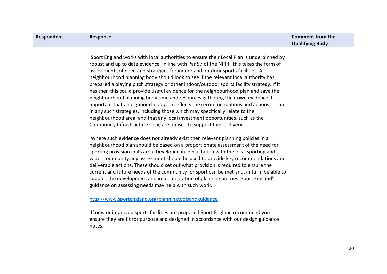| Respondent | <b>Response</b>                                                                                                                                                                                                                                                                                                                                                                                                                                                                                                                                                                                                                                                                                                                                                                                                                                                                                                                                                        | <b>Comment from the</b> |
|------------|------------------------------------------------------------------------------------------------------------------------------------------------------------------------------------------------------------------------------------------------------------------------------------------------------------------------------------------------------------------------------------------------------------------------------------------------------------------------------------------------------------------------------------------------------------------------------------------------------------------------------------------------------------------------------------------------------------------------------------------------------------------------------------------------------------------------------------------------------------------------------------------------------------------------------------------------------------------------|-------------------------|
|            |                                                                                                                                                                                                                                                                                                                                                                                                                                                                                                                                                                                                                                                                                                                                                                                                                                                                                                                                                                        | <b>Qualifying Body</b>  |
|            | Sport England works with local authorities to ensure their Local Plan is underpinned by<br>robust and up to date evidence. In line with Par 97 of the NPPF, this takes the form of<br>assessments of need and strategies for indoor and outdoor sports facilities. A<br>neighbourhood planning body should look to see if the relevant local authority has<br>prepared a playing pitch strategy or other indoor/outdoor sports facility strategy. If it<br>has then this could provide useful evidence for the neighbourhood plan and save the<br>neighbourhood planning body time and resources gathering their own evidence. It is<br>important that a neighbourhood plan reflects the recommendations and actions set out<br>in any such strategies, including those which may specifically relate to the<br>neighbourhood area, and that any local investment opportunities, such as the<br>Community Infrastructure Levy, are utilised to support their delivery. |                         |
|            | Where such evidence does not already exist then relevant planning policies in a<br>neighbourhood plan should be based on a proportionate assessment of the need for<br>sporting provision in its area. Developed in consultation with the local sporting and<br>wider community any assessment should be used to provide key recommendations and<br>deliverable actions. These should set out what provision is required to ensure the<br>current and future needs of the community for sport can be met and, in turn, be able to<br>support the development and implementation of planning policies. Sport England's<br>guidance on assessing needs may help with such work.                                                                                                                                                                                                                                                                                          |                         |
|            | http://www.sportengland.org/planningtoolsandguidance<br>If new or improved sports facilities are proposed Sport England recommend you<br>ensure they are fit for purpose and designed in accordance with our design guidance<br>notes.                                                                                                                                                                                                                                                                                                                                                                                                                                                                                                                                                                                                                                                                                                                                 |                         |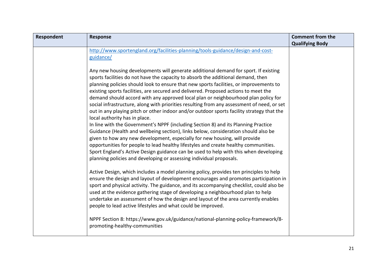| Respondent | <b>Response</b>                                                                                                                                                                                                                                                                                                                                                                                                                                                                                                                                                                                                                                                                                                                                                  | <b>Comment from the</b> |
|------------|------------------------------------------------------------------------------------------------------------------------------------------------------------------------------------------------------------------------------------------------------------------------------------------------------------------------------------------------------------------------------------------------------------------------------------------------------------------------------------------------------------------------------------------------------------------------------------------------------------------------------------------------------------------------------------------------------------------------------------------------------------------|-------------------------|
|            |                                                                                                                                                                                                                                                                                                                                                                                                                                                                                                                                                                                                                                                                                                                                                                  | <b>Qualifying Body</b>  |
|            | http://www.sportengland.org/facilities-planning/tools-guidance/design-and-cost-                                                                                                                                                                                                                                                                                                                                                                                                                                                                                                                                                                                                                                                                                  |                         |
|            | guidance/                                                                                                                                                                                                                                                                                                                                                                                                                                                                                                                                                                                                                                                                                                                                                        |                         |
|            | Any new housing developments will generate additional demand for sport. If existing<br>sports facilities do not have the capacity to absorb the additional demand, then<br>planning policies should look to ensure that new sports facilities, or improvements to<br>existing sports facilities, are secured and delivered. Proposed actions to meet the<br>demand should accord with any approved local plan or neighbourhood plan policy for<br>social infrastructure, along with priorities resulting from any assessment of need, or set<br>out in any playing pitch or other indoor and/or outdoor sports facility strategy that the<br>local authority has in place.<br>In line with the Government's NPPF (including Section 8) and its Planning Practice |                         |
|            | Guidance (Health and wellbeing section), links below, consideration should also be<br>given to how any new development, especially for new housing, will provide<br>opportunities for people to lead healthy lifestyles and create healthy communities.<br>Sport England's Active Design guidance can be used to help with this when developing<br>planning policies and developing or assessing individual proposals.                                                                                                                                                                                                                                                                                                                                           |                         |
|            | Active Design, which includes a model planning policy, provides ten principles to help<br>ensure the design and layout of development encourages and promotes participation in<br>sport and physical activity. The guidance, and its accompanying checklist, could also be<br>used at the evidence gathering stage of developing a neighbourhood plan to help<br>undertake an assessment of how the design and layout of the area currently enables<br>people to lead active lifestyles and what could be improved.                                                                                                                                                                                                                                              |                         |
|            | NPPF Section 8: https://www.gov.uk/guidance/national-planning-policy-framework/8-<br>promoting-healthy-communities                                                                                                                                                                                                                                                                                                                                                                                                                                                                                                                                                                                                                                               |                         |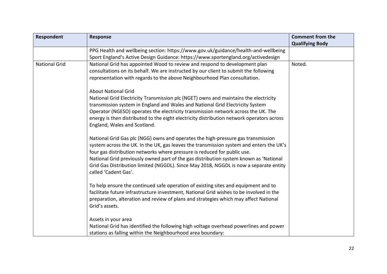| Respondent           | <b>Response</b>                                                                                                                                                                                                                                                                                                                                                                                                                                                   | <b>Comment from the</b><br><b>Qualifying Body</b> |
|----------------------|-------------------------------------------------------------------------------------------------------------------------------------------------------------------------------------------------------------------------------------------------------------------------------------------------------------------------------------------------------------------------------------------------------------------------------------------------------------------|---------------------------------------------------|
|                      | PPG Health and wellbeing section: https://www.gov.uk/guidance/health-and-wellbeing                                                                                                                                                                                                                                                                                                                                                                                |                                                   |
|                      | Sport England's Active Design Guidance: https://www.sportengland.org/activedesign                                                                                                                                                                                                                                                                                                                                                                                 |                                                   |
| <b>National Grid</b> | National Grid has appointed Wood to review and respond to development plan<br>consultations on its behalf. We are instructed by our client to submit the following<br>representation with regards to the above Neighbourhood Plan consultation.                                                                                                                                                                                                                   | Noted.                                            |
|                      | <b>About National Grid</b><br>National Grid Electricity Transmission plc (NGET) owns and maintains the electricity<br>transmission system in England and Wales and National Grid Electricity System<br>Operator (NGESO) operates the electricity transmission network across the UK. The<br>energy is then distributed to the eight electricity distribution network operators across<br>England, Wales and Scotland.                                             |                                                   |
|                      | National Grid Gas plc (NGG) owns and operates the high-pressure gas transmission<br>system across the UK. In the UK, gas leaves the transmission system and enters the UK's<br>four gas distribution networks where pressure is reduced for public use.<br>National Grid previously owned part of the gas distribution system known as 'National<br>Grid Gas Distribution limited (NGGDL). Since May 2018, NGGDL is now a separate entity<br>called 'Cadent Gas'. |                                                   |
|                      | To help ensure the continued safe operation of existing sites and equipment and to<br>facilitate future infrastructure investment, National Grid wishes to be involved in the<br>preparation, alteration and review of plans and strategies which may affect National<br>Grid's assets.                                                                                                                                                                           |                                                   |
|                      | Assets in your area<br>National Grid has identified the following high voltage overhead powerlines and power<br>stations as falling within the Neighbourhood area boundary:                                                                                                                                                                                                                                                                                       |                                                   |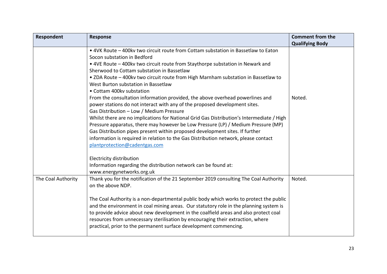| <b>Respondent</b>  | <b>Response</b>                                                                                                                                                                                                                                                                                                                                                                                                                                                                                                                                                                                                                                                                                                                                                                                                                                                                                                                                                                                                                              | <b>Comment from the</b><br><b>Qualifying Body</b> |
|--------------------|----------------------------------------------------------------------------------------------------------------------------------------------------------------------------------------------------------------------------------------------------------------------------------------------------------------------------------------------------------------------------------------------------------------------------------------------------------------------------------------------------------------------------------------------------------------------------------------------------------------------------------------------------------------------------------------------------------------------------------------------------------------------------------------------------------------------------------------------------------------------------------------------------------------------------------------------------------------------------------------------------------------------------------------------|---------------------------------------------------|
|                    | . 4VK Route - 400kv two circuit route from Cottam substation in Bassetlaw to Eaton<br>Socon substation in Bedford<br>• 4VE Route - 400kv two circuit route from Staythorpe substation in Newark and<br>Sherwood to Cottam substation in Bassetlaw<br>• ZDA Route - 400kv two circuit route from High Marnham substation in Bassetlaw to<br>West Burton substation in Bassetlaw<br>• Cottam 400kv substation<br>From the consultation information provided, the above overhead powerlines and<br>power stations do not interact with any of the proposed development sites.<br>Gas Distribution - Low / Medium Pressure<br>Whilst there are no implications for National Grid Gas Distribution's Intermediate / High<br>Pressure apparatus, there may however be Low Pressure (LP) / Medium Pressure (MP)<br>Gas Distribution pipes present within proposed development sites. If further<br>information is required in relation to the Gas Distribution network, please contact<br>plantprotection@cadentgas.com<br>Electricity distribution | Noted.                                            |
|                    | Information regarding the distribution network can be found at:<br>www.energynetworks.org.uk                                                                                                                                                                                                                                                                                                                                                                                                                                                                                                                                                                                                                                                                                                                                                                                                                                                                                                                                                 |                                                   |
| The Coal Authority | Thank you for the notification of the 21 September 2019 consulting The Coal Authority<br>on the above NDP.<br>The Coal Authority is a non-departmental public body which works to protect the public<br>and the environment in coal mining areas. Our statutory role in the planning system is<br>to provide advice about new development in the coalfield areas and also protect coal<br>resources from unnecessary sterilisation by encouraging their extraction, where<br>practical, prior to the permanent surface development commencing.                                                                                                                                                                                                                                                                                                                                                                                                                                                                                               | Noted.                                            |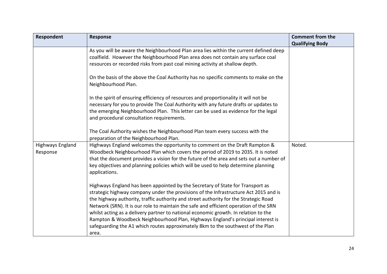| Respondent                          | <b>Response</b>                                                                                                                                                                                                                                                                                                                                                                                                                                                                                                                                                                                                               | <b>Comment from the</b><br><b>Qualifying Body</b> |
|-------------------------------------|-------------------------------------------------------------------------------------------------------------------------------------------------------------------------------------------------------------------------------------------------------------------------------------------------------------------------------------------------------------------------------------------------------------------------------------------------------------------------------------------------------------------------------------------------------------------------------------------------------------------------------|---------------------------------------------------|
|                                     | As you will be aware the Neighbourhood Plan area lies within the current defined deep<br>coalfield. However the Neighbourhood Plan area does not contain any surface coal<br>resources or recorded risks from past coal mining activity at shallow depth.                                                                                                                                                                                                                                                                                                                                                                     |                                                   |
|                                     | On the basis of the above the Coal Authority has no specific comments to make on the<br>Neighbourhood Plan.                                                                                                                                                                                                                                                                                                                                                                                                                                                                                                                   |                                                   |
|                                     | In the spirit of ensuring efficiency of resources and proportionality it will not be<br>necessary for you to provide The Coal Authority with any future drafts or updates to<br>the emerging Neighbourhood Plan. This letter can be used as evidence for the legal<br>and procedural consultation requirements.                                                                                                                                                                                                                                                                                                               |                                                   |
|                                     | The Coal Authority wishes the Neighbourhood Plan team every success with the<br>preparation of the Neighbourhood Plan.                                                                                                                                                                                                                                                                                                                                                                                                                                                                                                        |                                                   |
| <b>Highways England</b><br>Response | Highways England welcomes the opportunity to comment on the Draft Rampton &<br>Woodbeck Neighbourhood Plan which covers the period of 2019 to 2035. It is noted<br>that the document provides a vision for the future of the area and sets out a number of<br>key objectives and planning policies which will be used to help determine planning<br>applications.                                                                                                                                                                                                                                                             | Noted.                                            |
|                                     | Highways England has been appointed by the Secretary of State for Transport as<br>strategic highway company under the provisions of the Infrastructure Act 2015 and is<br>the highway authority, traffic authority and street authority for the Strategic Road<br>Network (SRN). It is our role to maintain the safe and efficient operation of the SRN<br>whilst acting as a delivery partner to national economic growth. In relation to the<br>Rampton & Woodbeck Neighbourhood Plan, Highways England's principal interest is<br>safeguarding the A1 which routes approximately 8km to the southwest of the Plan<br>area. |                                                   |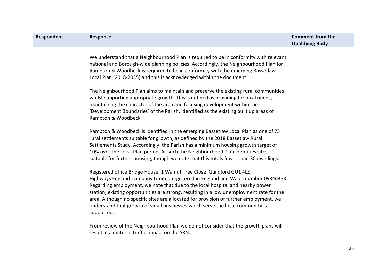| Respondent | <b>Response</b>                                                                                                                                                                                                                                                                                                                                                                                                                                                                                                                  | <b>Comment from the</b><br><b>Qualifying Body</b> |
|------------|----------------------------------------------------------------------------------------------------------------------------------------------------------------------------------------------------------------------------------------------------------------------------------------------------------------------------------------------------------------------------------------------------------------------------------------------------------------------------------------------------------------------------------|---------------------------------------------------|
|            | We understand that a Neighbourhood Plan is required to be in conformity with relevant<br>national and Borough-wide planning policies. Accordingly, the Neighbourhood Plan for<br>Rampton & Woodbeck is required to be in conformity with the emerging Bassetlaw<br>Local Plan (2018-2035) and this is acknowledged within the document.                                                                                                                                                                                          |                                                   |
|            | The Neighbourhood Plan aims to maintain and preserve the existing rural communities<br>whilst supporting appropriate growth. This is defined as providing for local needs,<br>maintaining the character of the area and focusing development within the<br>'Development Boundaries' of the Parish, identified as the existing built up areas of<br>Rampton & Woodbeck.                                                                                                                                                           |                                                   |
|            | Rampton & Woodbeck is identified in the emerging Bassetlaw Local Plan as one of 73<br>rural settlements suitable for growth, as defined by the 2018 Bassetlaw Rural<br>Settlements Study. Accordingly, the Parish has a minimum housing growth target of<br>10% over the Local Plan period. As such the Neighbourhood Plan identifies sites<br>suitable for further housing, though we note that this totals fewer than 30 dwellings.                                                                                            |                                                   |
|            | Registered office Bridge House, 1 Walnut Tree Close, Guildford GU1 4LZ<br>Highways England Company Limited registered in England and Wales number 09346363<br>Regarding employment, we note that due to the local hospital and nearby power<br>station, existing opportunities are strong, resulting in a low unemployment rate for the<br>area. Although no specific sites are allocated for provision of further employment, we<br>understand that growth of small businesses which serve the local community is<br>supported. |                                                   |
|            | From review of the Neighbourhood Plan we do not consider that the growth plans will<br>result in a material traffic impact on the SRN.                                                                                                                                                                                                                                                                                                                                                                                           |                                                   |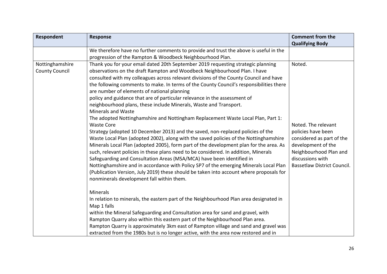| <b>Respondent</b>     | <b>Response</b>                                                                         | <b>Comment from the</b><br><b>Qualifying Body</b> |
|-----------------------|-----------------------------------------------------------------------------------------|---------------------------------------------------|
|                       | We therefore have no further comments to provide and trust the above is useful in the   |                                                   |
|                       | progression of the Rampton & Woodbeck Neighbourhood Plan.                               |                                                   |
| Nottinghamshire       | Thank you for your email dated 20th September 2019 requesting strategic planning        | Noted.                                            |
| <b>County Council</b> | observations on the draft Rampton and Woodbeck Neighbourhood Plan. I have               |                                                   |
|                       | consulted with my colleagues across relevant divisions of the County Council and have   |                                                   |
|                       | the following comments to make. In terms of the County Council's responsibilities there |                                                   |
|                       | are number of elements of national planning                                             |                                                   |
|                       | policy and guidance that are of particular relevance in the assessment of               |                                                   |
|                       | neighbourhood plans, these include Minerals, Waste and Transport.                       |                                                   |
|                       | Minerals and Waste                                                                      |                                                   |
|                       | The adopted Nottinghamshire and Nottingham Replacement Waste Local Plan, Part 1:        |                                                   |
|                       | <b>Waste Core</b>                                                                       | Noted. The relevant                               |
|                       | Strategy (adopted 10 December 2013) and the saved, non-replaced policies of the         | policies have been                                |
|                       | Waste Local Plan (adopted 2002), along with the saved policies of the Nottinghamshire   | considered as part of the                         |
|                       | Minerals Local Plan (adopted 2005), form part of the development plan for the area. As  | development of the                                |
|                       | such, relevant policies in these plans need to be considered. In addition, Minerals     | Neighbourhood Plan and                            |
|                       | Safeguarding and Consultation Areas (MSA/MCA) have been identified in                   | discussions with                                  |
|                       | Nottinghamshire and in accordance with Policy SP7 of the emerging Minerals Local Plan   | <b>Bassetlaw District Council.</b>                |
|                       | (Publication Version, July 2019) these should be taken into account where proposals for |                                                   |
|                       | nonminerals development fall within them.                                               |                                                   |
|                       | <b>Minerals</b>                                                                         |                                                   |
|                       |                                                                                         |                                                   |
|                       | In relation to minerals, the eastern part of the Neighbourhood Plan area designated in  |                                                   |
|                       | Map 1 falls                                                                             |                                                   |
|                       | within the Mineral Safeguarding and Consultation area for sand and gravel, with         |                                                   |
|                       | Rampton Quarry also within this eastern part of the Neighbourhood Plan area.            |                                                   |
|                       | Rampton Quarry is approximately 3km east of Rampton village and sand and gravel was     |                                                   |
|                       | extracted from the 1980s but is no longer active, with the area now restored and in     |                                                   |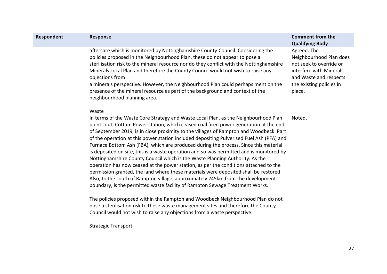| Respondent | <b>Response</b>                                                                                                                                                                                                                                                                                                                                                                                                                                                                                                                                                                                                                                                                                                                                                                                                                                                                                                                                                                                    | <b>Comment from the</b><br><b>Qualifying Body</b>                                                                                                            |
|------------|----------------------------------------------------------------------------------------------------------------------------------------------------------------------------------------------------------------------------------------------------------------------------------------------------------------------------------------------------------------------------------------------------------------------------------------------------------------------------------------------------------------------------------------------------------------------------------------------------------------------------------------------------------------------------------------------------------------------------------------------------------------------------------------------------------------------------------------------------------------------------------------------------------------------------------------------------------------------------------------------------|--------------------------------------------------------------------------------------------------------------------------------------------------------------|
|            | aftercare which is monitored by Nottinghamshire County Council. Considering the<br>policies proposed in the Neighbourhood Plan, these do not appear to pose a<br>sterilisation risk to the mineral resource nor do they conflict with the Nottinghamshire<br>Minerals Local Plan and therefore the County Council would not wish to raise any<br>objections from<br>a minerals perspective. However, the Neighbourhood Plan could perhaps mention the<br>presence of the mineral resource as part of the background and context of the<br>neighbourhood planning area.                                                                                                                                                                                                                                                                                                                                                                                                                             | Agreed. The<br>Neighbourhood Plan does<br>not seek to override or<br>interfere with Minerals<br>and Waste and respects<br>the existing policies in<br>place. |
|            | Waste<br>In terms of the Waste Core Strategy and Waste Local Plan, as the Neighbourhood Plan<br>points out, Cottam Power station, which ceased coal fired power generation at the end<br>of September 2019, is in close proximity to the villages of Rampton and Woodbeck. Part<br>of the operation at this power station included depositing Pulverised Fuel Ash (PFA) and<br>Furnace Bottom Ash (FBA), which are produced during the process. Since this material<br>is deposited on site, this is a waste operation and so was permitted and is monitored by<br>Nottinghamshire County Council which is the Waste Planning Authority. As the<br>operation has now ceased at the power station, as per the conditions attached to the<br>permission granted, the land where these materials were deposited shall be restored.<br>Also, to the south of Rampton village, approximately 245km from the development<br>boundary, is the permitted waste facility of Rampton Sewage Treatment Works. | Noted.                                                                                                                                                       |
|            | The policies proposed within the Rampton and Woodbeck Neighbourhood Plan do not<br>pose a sterilisation risk to these waste management sites and therefore the County<br>Council would not wish to raise any objections from a waste perspective.                                                                                                                                                                                                                                                                                                                                                                                                                                                                                                                                                                                                                                                                                                                                                  |                                                                                                                                                              |
|            | <b>Strategic Transport</b>                                                                                                                                                                                                                                                                                                                                                                                                                                                                                                                                                                                                                                                                                                                                                                                                                                                                                                                                                                         |                                                                                                                                                              |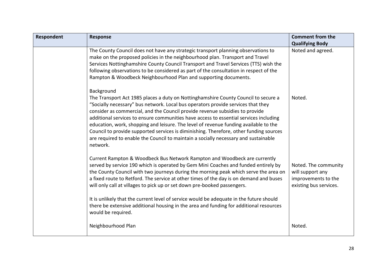| Respondent | <b>Response</b>                                                                                                                                                                                                                                                                                                                                                                                                                                                                                                                                                                                                                                    | <b>Comment from the</b><br><b>Qualifying Body</b>                                         |
|------------|----------------------------------------------------------------------------------------------------------------------------------------------------------------------------------------------------------------------------------------------------------------------------------------------------------------------------------------------------------------------------------------------------------------------------------------------------------------------------------------------------------------------------------------------------------------------------------------------------------------------------------------------------|-------------------------------------------------------------------------------------------|
|            | The County Council does not have any strategic transport planning observations to<br>make on the proposed policies in the neighbourhood plan. Transport and Travel<br>Services Nottinghamshire County Council Transport and Travel Services (TTS) wish the<br>following observations to be considered as part of the consultation in respect of the<br>Rampton & Woodbeck Neighbourhood Plan and supporting documents.                                                                                                                                                                                                                             | Noted and agreed.                                                                         |
|            | Background<br>The Transport Act 1985 places a duty on Nottinghamshire County Council to secure a<br>"Socially necessary" bus network. Local bus operators provide services that they<br>consider as commercial, and the Council provide revenue subsidies to provide<br>additional services to ensure communities have access to essential services including<br>education, work, shopping and leisure. The level of revenue funding available to the<br>Council to provide supported services is diminishing. Therefore, other funding sources<br>are required to enable the Council to maintain a socially necessary and sustainable<br>network. | Noted.                                                                                    |
|            | Current Rampton & Woodbeck Bus Network Rampton and Woodbeck are currently<br>served by service 190 which is operated by Gem Mini Coaches and funded entirely by<br>the County Council with two journeys during the morning peak which serve the area on<br>a fixed route to Retford. The service at other times of the day is on demand and buses<br>will only call at villages to pick up or set down pre-booked passengers.<br>It is unlikely that the current level of service would be adequate in the future should<br>there be extensive additional housing in the area and funding for additional resources                                 | Noted. The community<br>will support any<br>improvements to the<br>existing bus services. |
|            | would be required.<br>Neighbourhood Plan                                                                                                                                                                                                                                                                                                                                                                                                                                                                                                                                                                                                           | Noted.                                                                                    |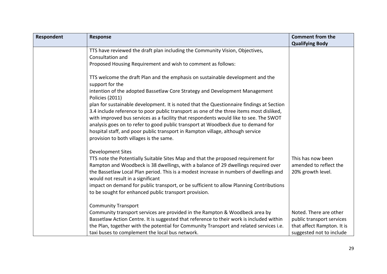| Respondent | <b>Response</b>                                                                                                             | <b>Comment from the</b>    |
|------------|-----------------------------------------------------------------------------------------------------------------------------|----------------------------|
|            |                                                                                                                             | <b>Qualifying Body</b>     |
|            | TTS have reviewed the draft plan including the Community Vision, Objectives,<br>Consultation and                            |                            |
|            | Proposed Housing Requirement and wish to comment as follows:                                                                |                            |
|            |                                                                                                                             |                            |
|            | TTS welcome the draft Plan and the emphasis on sustainable development and the                                              |                            |
|            | support for the                                                                                                             |                            |
|            | intention of the adopted Bassetlaw Core Strategy and Development Management<br><b>Policies (2011)</b>                       |                            |
|            | plan for sustainable development. It is noted that the Questionnaire findings at Section                                    |                            |
|            | 3.4 include reference to poor public transport as one of the three items most disliked,                                     |                            |
|            | with improved bus services as a facility that respondents would like to see. The SWOT                                       |                            |
|            | analysis goes on to refer to good public transport at Woodbeck due to demand for                                            |                            |
|            | hospital staff, and poor public transport in Rampton village, although service                                              |                            |
|            | provision to both villages is the same.                                                                                     |                            |
|            | <b>Development Sites</b>                                                                                                    |                            |
|            | TTS note the Potentially Suitable Sites Map and that the proposed requirement for                                           | This has now been          |
|            | Rampton and Woodbeck is 38 dwellings, with a balance of 29 dwellings required over                                          | amended to reflect the     |
|            | the Bassetlaw Local Plan period. This is a modest increase in numbers of dwellings and<br>would not result in a significant | 20% growth level.          |
|            | impact on demand for public transport, or be sufficient to allow Planning Contributions                                     |                            |
|            | to be sought for enhanced public transport provision.                                                                       |                            |
|            |                                                                                                                             |                            |
|            | <b>Community Transport</b>                                                                                                  |                            |
|            | Community transport services are provided in the Rampton & Woodbeck area by                                                 | Noted. There are other     |
|            | Bassetlaw Action Centre. It is suggested that reference to their work is included within                                    | public transport services  |
|            | the Plan, together with the potential for Community Transport and related services i.e.                                     | that affect Rampton. It is |
|            | taxi buses to complement the local bus network.                                                                             | suggested not to include   |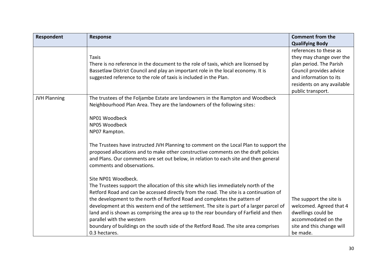| Respondent          | <b>Response</b>                                                                                                                                                                                                                                                                                                                                                                                                                                                                                                                                                                                                | <b>Comment from the</b><br><b>Qualifying Body</b>                                                                                                                                     |
|---------------------|----------------------------------------------------------------------------------------------------------------------------------------------------------------------------------------------------------------------------------------------------------------------------------------------------------------------------------------------------------------------------------------------------------------------------------------------------------------------------------------------------------------------------------------------------------------------------------------------------------------|---------------------------------------------------------------------------------------------------------------------------------------------------------------------------------------|
|                     | <b>Taxis</b><br>There is no reference in the document to the role of taxis, which are licensed by<br>Bassetlaw District Council and play an important role in the local economy. It is<br>suggested reference to the role of taxis is included in the Plan.                                                                                                                                                                                                                                                                                                                                                    | references to these as<br>they may change over the<br>plan period. The Parish<br>Council provides advice<br>and information to its<br>residents on any available<br>public transport. |
| <b>JVH Planning</b> | The trustees of the Foljambe Estate are landowners in the Rampton and Woodbeck<br>Neighbourhood Plan Area. They are the landowners of the following sites:<br>NP01 Woodbeck<br>NP05 Woodbeck<br>NP07 Rampton.                                                                                                                                                                                                                                                                                                                                                                                                  |                                                                                                                                                                                       |
|                     | The Trustees have instructed JVH Planning to comment on the Local Plan to support the<br>proposed allocations and to make other constructive comments on the draft policies<br>and Plans. Our comments are set out below, in relation to each site and then general<br>comments and observations.                                                                                                                                                                                                                                                                                                              |                                                                                                                                                                                       |
|                     | Site NP01 Woodbeck.<br>The Trustees support the allocation of this site which lies immediately north of the<br>Retford Road and can be accessed directly from the road. The site is a continuation of<br>the development to the north of Retford Road and completes the pattern of<br>development at this western end of the settlement. The site is part of a larger parcel of<br>land and is shown as comprising the area up to the rear boundary of Farfield and then<br>parallel with the western<br>boundary of buildings on the south side of the Retford Road. The site area comprises<br>0.3 hectares. | The support the site is<br>welcomed. Agreed that 4<br>dwellings could be<br>accommodated on the<br>site and this change will<br>be made.                                              |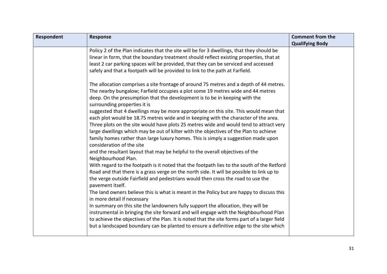| Respondent | <b>Response</b>                                                                               | <b>Comment from the</b> |
|------------|-----------------------------------------------------------------------------------------------|-------------------------|
|            |                                                                                               | <b>Qualifying Body</b>  |
|            | Policy 2 of the Plan indicates that the site will be for 3 dwellings, that they should be     |                         |
|            | linear in form, that the boundary treatment should reflect existing properties, that at       |                         |
|            | least 2 car parking spaces will be provided, that they can be serviced and accessed           |                         |
|            | safely and that a footpath will be provided to link to the path at Farfield.                  |                         |
|            |                                                                                               |                         |
|            | The allocation comprises a site frontage of around 75 metres and a depth of 44 metres.        |                         |
|            | The nearby bungalow; Farfield occupies a plot some 19 metres wide and 44 metres               |                         |
|            | deep. On the presumption that the development is to be in keeping with the                    |                         |
|            | surrounding properties it is                                                                  |                         |
|            | suggested that 4 dwellings may be more appropriate on this site. This would mean that         |                         |
|            | each plot would be 18.75 metres wide and in keeping with the character of the area.           |                         |
|            | Three plots on the site would have plots 25 metres wide and would tend to attract very        |                         |
|            | large dwellings which may be out of kilter with the objectives of the Plan to achieve         |                         |
|            | family homes rather than large luxury homes. This is simply a suggestion made upon            |                         |
|            | consideration of the site                                                                     |                         |
|            | and the resultant layout that may be helpful to the overall objectives of the                 |                         |
|            | Neighbourhood Plan.                                                                           |                         |
|            | With regard to the footpath is it noted that the footpath lies to the south of the Retford    |                         |
|            | Road and that there is a grass verge on the north side. It will be possible to link up to     |                         |
|            | the verge outside Fairfield and pedestrians would then cross the road to use the              |                         |
|            | pavement itself.                                                                              |                         |
|            | The land owners believe this is what is meant in the Policy but are happy to discuss this     |                         |
|            | in more detail if necessary                                                                   |                         |
|            | In summary on this site the landowners fully support the allocation, they will be             |                         |
|            | instrumental in bringing the site forward and will engage with the Neighbourhood Plan         |                         |
|            | to achieve the objectives of the Plan. It is noted that the site forms part of a larger field |                         |
|            | but a landscaped boundary can be planted to ensure a definitive edge to the site which        |                         |
|            |                                                                                               |                         |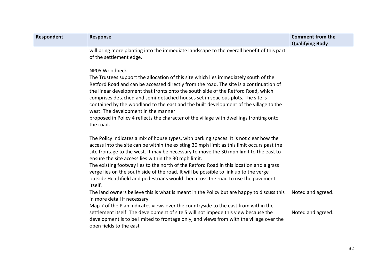| Respondent | <b>Response</b>                                                                                                                                                                                                                                                                                                                                                                                                                                                                                                                                                                                                                                                                                                                                                                                                                                                                                                                                                                                                                                           | <b>Comment from the</b>                |
|------------|-----------------------------------------------------------------------------------------------------------------------------------------------------------------------------------------------------------------------------------------------------------------------------------------------------------------------------------------------------------------------------------------------------------------------------------------------------------------------------------------------------------------------------------------------------------------------------------------------------------------------------------------------------------------------------------------------------------------------------------------------------------------------------------------------------------------------------------------------------------------------------------------------------------------------------------------------------------------------------------------------------------------------------------------------------------|----------------------------------------|
|            | will bring more planting into the immediate landscape to the overall benefit of this part<br>of the settlement edge.<br>NP05 Woodbeck<br>The Trustees support the allocation of this site which lies immediately south of the<br>Retford Road and can be accessed directly from the road. The site is a continuation of<br>the linear development that fronts onto the south side of the Retford Road, which<br>comprises detached and semi-detached houses set in spacious plots. The site is<br>contained by the woodland to the east and the built development of the village to the<br>west. The development in the manner<br>proposed in Policy 4 reflects the character of the village with dwellings fronting onto<br>the road.                                                                                                                                                                                                                                                                                                                    | <b>Qualifying Body</b>                 |
|            | The Policy indicates a mix of house types, with parking spaces. It is not clear how the<br>access into the site can be within the existing 30 mph limit as this limit occurs past the<br>site frontage to the west. It may be necessary to move the 30 mph limit to the east to<br>ensure the site access lies within the 30 mph limit.<br>The existing footway lies to the north of the Retford Road in this location and a grass<br>verge lies on the south side of the road. It will be possible to link up to the verge<br>outside Heathfield and pedestrians would then cross the road to use the pavement<br>itself.<br>The land owners believe this is what is meant in the Policy but are happy to discuss this<br>in more detail if necessary.<br>Map 7 of the Plan indicates views over the countryside to the east from within the<br>settlement itself. The development of site 5 will not impede this view because the<br>development is to be limited to frontage only, and views from with the village over the<br>open fields to the east | Noted and agreed.<br>Noted and agreed. |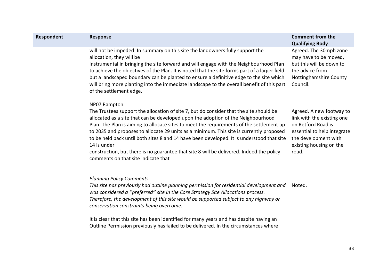| Respondent | Response                                                                                                                                                                                                                                                                                                                                                                                                                                                                                                                                                                                                                          | <b>Comment from the</b>                                                                                                                                                 |
|------------|-----------------------------------------------------------------------------------------------------------------------------------------------------------------------------------------------------------------------------------------------------------------------------------------------------------------------------------------------------------------------------------------------------------------------------------------------------------------------------------------------------------------------------------------------------------------------------------------------------------------------------------|-------------------------------------------------------------------------------------------------------------------------------------------------------------------------|
|            | will not be impeded. In summary on this site the landowners fully support the<br>allocation, they will be<br>instrumental in bringing the site forward and will engage with the Neighbourhood Plan<br>to achieve the objectives of the Plan. It is noted that the site forms part of a larger field<br>but a landscaped boundary can be planted to ensure a definitive edge to the site which<br>will bring more planting into the immediate landscape to the overall benefit of this part<br>of the settlement edge.                                                                                                             | <b>Qualifying Body</b><br>Agreed. The 30mph zone<br>may have to be moved,<br>but this will be down to<br>the advice from<br>Nottinghamshire County<br>Council.          |
|            | NP07 Rampton.<br>The Trustees support the allocation of site 7, but do consider that the site should be<br>allocated as a site that can be developed upon the adoption of the Neighbourhood<br>Plan. The Plan is aiming to allocate sites to meet the requirements of the settlement up<br>to 2035 and proposes to allocate 29 units as a minimum. This site is currently proposed<br>to be held back until both sites 8 and 14 have been developed. It is understood that site<br>14 is under<br>construction, but there is no guarantee that site 8 will be delivered. Indeed the policy<br>comments on that site indicate that | Agreed. A new footway to<br>link with the existing one<br>on Retford Road is<br>essential to help integrate<br>the development with<br>existing housing on the<br>road. |
|            | <b>Planning Policy Comments</b><br>This site has previously had outline planning permission for residential development and<br>was considered a "preferred" site in the Core Strategy Site Allocations process.<br>Therefore, the development of this site would be supported subject to any highway or<br>conservation constraints being overcome.<br>It is clear that this site has been identified for many years and has despite having an<br>Outline Permission previously has failed to be delivered. In the circumstances where                                                                                            | Noted.                                                                                                                                                                  |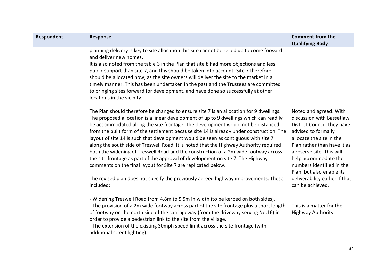| Respondent | <b>Response</b>                                                                                                                                                                                                                                                                                                                                                                                                                                                                                                                                                                                                                                                                                                                                                                             | <b>Comment from the</b>                                                                                                                                                                                                                                                             |
|------------|---------------------------------------------------------------------------------------------------------------------------------------------------------------------------------------------------------------------------------------------------------------------------------------------------------------------------------------------------------------------------------------------------------------------------------------------------------------------------------------------------------------------------------------------------------------------------------------------------------------------------------------------------------------------------------------------------------------------------------------------------------------------------------------------|-------------------------------------------------------------------------------------------------------------------------------------------------------------------------------------------------------------------------------------------------------------------------------------|
|            |                                                                                                                                                                                                                                                                                                                                                                                                                                                                                                                                                                                                                                                                                                                                                                                             | <b>Qualifying Body</b>                                                                                                                                                                                                                                                              |
|            | planning delivery is key to site allocation this site cannot be relied up to come forward<br>and deliver new homes.<br>It is also noted from the table 3 in the Plan that site 8 had more objections and less<br>public support than site 7, and this should be taken into account. Site 7 therefore<br>should be allocated now; as the site owners will deliver the site to the market in a<br>timely manner. This has been undertaken in the past and the Trustees are committed<br>to bringing sites forward for development, and have done so successfully at other<br>locations in the vicinity.                                                                                                                                                                                       |                                                                                                                                                                                                                                                                                     |
|            | The Plan should therefore be changed to ensure site 7 is an allocation for 9 dwellings.<br>The proposed allocation is a linear development of up to 9 dwellings which can readily<br>be accommodated along the site frontage. The development would not be distanced<br>from the built form of the settlement because site 14 is already under construction. The<br>layout of site 14 is such that development would be seen as contiguous with site 7<br>along the south side of Treswell Road. It is noted that the Highway Authority required<br>both the widening of Treswell Road and the construction of a 2m wide footway across<br>the site frontage as part of the approval of development on site 7. The Highway<br>comments on the final layout for Site 7 are replicated below. | Noted and agreed. With<br>discussion with Bassetlaw<br>District Council, they have<br>advised to formally<br>allocate the site in the<br>Plan rather than have it as<br>a reserve site. This will<br>help accommodate the<br>numbers identified in the<br>Plan, but also enable its |
|            | The revised plan does not specify the previously agreed highway improvements. These<br>included:                                                                                                                                                                                                                                                                                                                                                                                                                                                                                                                                                                                                                                                                                            | deliverability earlier if that<br>can be achieved.                                                                                                                                                                                                                                  |
|            | - Widening Treswell Road from 4.8m to 5.5m in width (to be kerbed on both sides).<br>- The provision of a 2m wide footway across part of the site frontage plus a short length<br>of footway on the north side of the carriageway (from the driveway serving No.16) in<br>order to provide a pedestrian link to the site from the village.<br>- The extension of the existing 30mph speed limit across the site frontage (with<br>additional street lighting).                                                                                                                                                                                                                                                                                                                              | This is a matter for the<br>Highway Authority.                                                                                                                                                                                                                                      |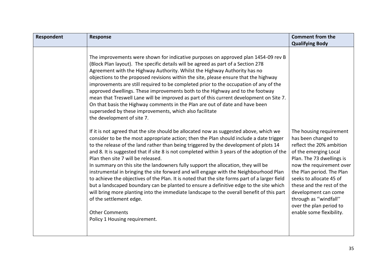| Respondent | <b>Response</b>                                                                                                                                                                                                                                                                                                                                                                                                                                                                                                                                                                                                                                                                                                                                                                                                                                                                                                                                                             | <b>Comment from the</b>                                                                                                                                                                                                                                                                                                                                   |
|------------|-----------------------------------------------------------------------------------------------------------------------------------------------------------------------------------------------------------------------------------------------------------------------------------------------------------------------------------------------------------------------------------------------------------------------------------------------------------------------------------------------------------------------------------------------------------------------------------------------------------------------------------------------------------------------------------------------------------------------------------------------------------------------------------------------------------------------------------------------------------------------------------------------------------------------------------------------------------------------------|-----------------------------------------------------------------------------------------------------------------------------------------------------------------------------------------------------------------------------------------------------------------------------------------------------------------------------------------------------------|
|            |                                                                                                                                                                                                                                                                                                                                                                                                                                                                                                                                                                                                                                                                                                                                                                                                                                                                                                                                                                             | <b>Qualifying Body</b>                                                                                                                                                                                                                                                                                                                                    |
|            | The improvements were shown for indicative purposes on approved plan 1454-09 rev B<br>(Block Plan layout). The specific details will be agreed as part of a Section 278<br>Agreement with the Highway Authority. Whilst the Highway Authority has no<br>objections to the proposed revisions within the site, please ensure that the highway<br>improvements are still required to be completed prior to the occupation of any of the<br>approved dwellings. These improvements both to the Highway and to the footway<br>mean that Treswell Lane will be improved as part of this current development on Site 7.<br>On that basis the Highway comments in the Plan are out of date and have been<br>superseded by these improvements, which also facilitate<br>the development of site 7.                                                                                                                                                                                  |                                                                                                                                                                                                                                                                                                                                                           |
|            | If it is not agreed that the site should be allocated now as suggested above, which we<br>consider to be the most appropriate action; then the Plan should include a date trigger<br>to the release of the land rather than being triggered by the development of plots 14<br>and 8. It is suggested that if site 8 is not completed within 3 years of the adoption of the<br>Plan then site 7 will be released.<br>In summary on this site the landowners fully support the allocation, they will be<br>instrumental in bringing the site forward and will engage with the Neighbourhood Plan<br>to achieve the objectives of the Plan. It is noted that the site forms part of a larger field<br>but a landscaped boundary can be planted to ensure a definitive edge to the site which<br>will bring more planting into the immediate landscape to the overall benefit of this part<br>of the settlement edge.<br><b>Other Comments</b><br>Policy 1 Housing requirement. | The housing requirement<br>has been changed to<br>reflect the 20% ambition<br>of the emerging Local<br>Plan. The 73 dwellings is<br>now the requirement over<br>the Plan period. The Plan<br>seeks to allocate 45 of<br>these and the rest of the<br>development can come<br>through as "windfall"<br>over the plan period to<br>enable some flexibility. |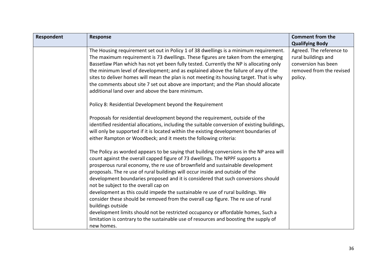| <b>Respondent</b> | Response                                                                                                                                                                                                                                                                                                                                                                                                                                                                                                                                                                                                                                                                                                                                                                                                                                                        | <b>Comment from the</b><br><b>Qualifying Body</b>                                                             |
|-------------------|-----------------------------------------------------------------------------------------------------------------------------------------------------------------------------------------------------------------------------------------------------------------------------------------------------------------------------------------------------------------------------------------------------------------------------------------------------------------------------------------------------------------------------------------------------------------------------------------------------------------------------------------------------------------------------------------------------------------------------------------------------------------------------------------------------------------------------------------------------------------|---------------------------------------------------------------------------------------------------------------|
|                   | The Housing requirement set out in Policy 1 of 38 dwellings is a minimum requirement.<br>The maximum requirement is 73 dwellings. These figures are taken from the emerging<br>Bassetlaw Plan which has not yet been fully tested. Currently the NP is allocating only<br>the minimum level of development; and as explained above the failure of any of the<br>sites to deliver homes will mean the plan is not meeting its housing target. That is why<br>the comments about site 7 set out above are important; and the Plan should allocate<br>additional land over and above the bare minimum.                                                                                                                                                                                                                                                             | Agreed. The reference to<br>rural buildings and<br>conversion has been<br>removed from the revised<br>policy. |
|                   | Policy 8: Residential Development beyond the Requirement                                                                                                                                                                                                                                                                                                                                                                                                                                                                                                                                                                                                                                                                                                                                                                                                        |                                                                                                               |
|                   | Proposals for residential development beyond the requirement, outside of the<br>identified residential allocations, including the suitable conversion of existing buildings,<br>will only be supported if it is located within the existing development boundaries of<br>either Rampton or Woodbeck; and it meets the following criteria:                                                                                                                                                                                                                                                                                                                                                                                                                                                                                                                       |                                                                                                               |
|                   | The Policy as worded appears to be saying that building conversions in the NP area will<br>count against the overall capped figure of 73 dwellings. The NPPF supports a<br>prosperous rural economy, the re use of brownfield and sustainable development<br>proposals. The re use of rural buildings will occur inside and outside of the<br>development boundaries proposed and it is considered that such conversions should<br>not be subject to the overall cap on<br>development as this could impede the sustainable re use of rural buildings. We<br>consider these should be removed from the overall cap figure. The re use of rural<br>buildings outside<br>development limits should not be restricted occupancy or affordable homes, Such a<br>limitation is contrary to the sustainable use of resources and boosting the supply of<br>new homes. |                                                                                                               |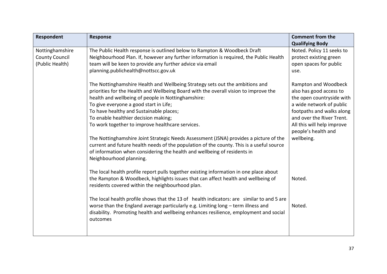| Respondent            | <b>Response</b>                                                                                                                                                                                                                                                                                                                                                                                                                                                                                                                                                                                                                                                                                         | <b>Comment from the</b>                                                                                                                                                                                                               |
|-----------------------|---------------------------------------------------------------------------------------------------------------------------------------------------------------------------------------------------------------------------------------------------------------------------------------------------------------------------------------------------------------------------------------------------------------------------------------------------------------------------------------------------------------------------------------------------------------------------------------------------------------------------------------------------------------------------------------------------------|---------------------------------------------------------------------------------------------------------------------------------------------------------------------------------------------------------------------------------------|
|                       |                                                                                                                                                                                                                                                                                                                                                                                                                                                                                                                                                                                                                                                                                                         | <b>Qualifying Body</b>                                                                                                                                                                                                                |
| Nottinghamshire       | The Public Health response is outlined below to Rampton & Woodbeck Draft                                                                                                                                                                                                                                                                                                                                                                                                                                                                                                                                                                                                                                | Noted. Policy 11 seeks to                                                                                                                                                                                                             |
| <b>County Council</b> | Neighbourhood Plan. If, however any further information is required, the Public Health                                                                                                                                                                                                                                                                                                                                                                                                                                                                                                                                                                                                                  | protect existing green                                                                                                                                                                                                                |
| (Public Health)       | team will be keen to provide any further advice via email                                                                                                                                                                                                                                                                                                                                                                                                                                                                                                                                                                                                                                               | open spaces for public                                                                                                                                                                                                                |
|                       | planning.publichealth@nottscc.gov.uk                                                                                                                                                                                                                                                                                                                                                                                                                                                                                                                                                                                                                                                                    | use.                                                                                                                                                                                                                                  |
|                       | The Nottinghamshire Health and Wellbeing Strategy sets out the ambitions and<br>priorities for the Health and Wellbeing Board with the overall vision to improve the<br>health and wellbeing of people in Nottinghamshire:<br>To give everyone a good start in Life;<br>To have healthy and Sustainable places;<br>To enable healthier decision making;<br>To work together to improve healthcare services.<br>The Nottinghamshire Joint Strategic Needs Assessment (JSNA) provides a picture of the<br>current and future health needs of the population of the county. This is a useful source<br>of information when considering the health and wellbeing of residents in<br>Neighbourhood planning. | Rampton and Woodbeck<br>also has good access to<br>the open countryside with<br>a wide network of public<br>footpaths and walks along<br>and over the River Trent.<br>All this will help improve<br>people's health and<br>wellbeing. |
|                       | The local health profile report pulls together existing information in one place about<br>the Rampton & Woodbeck, highlights issues that can affect health and wellbeing of<br>residents covered within the neighbourhood plan.<br>The local health profile shows that the 13 of health indicators: are similar to and 5 are<br>worse than the England average particularly e.g. Limiting long - term illness and<br>disability. Promoting health and wellbeing enhances resilience, employment and social<br>outcomes                                                                                                                                                                                  | Noted.<br>Noted.                                                                                                                                                                                                                      |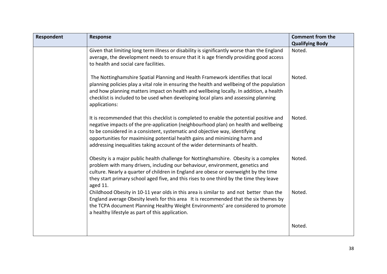| Respondent | <b>Response</b>                                                                                                                                                                                                                                                                                                                                                                                                              | <b>Comment from the</b><br><b>Qualifying Body</b> |
|------------|------------------------------------------------------------------------------------------------------------------------------------------------------------------------------------------------------------------------------------------------------------------------------------------------------------------------------------------------------------------------------------------------------------------------------|---------------------------------------------------|
|            | Given that limiting long term illness or disability is significantly worse than the England<br>average, the development needs to ensure that it is age friendly providing good access<br>to health and social care facilities.                                                                                                                                                                                               | Noted.                                            |
|            | The Nottinghamshire Spatial Planning and Health Framework identifies that local<br>planning policies play a vital role in ensuring the health and wellbeing of the population<br>and how planning matters impact on health and wellbeing locally. In addition, a health<br>checklist is included to be used when developing local plans and assessing planning<br>applications:                                              | Noted.                                            |
|            | It is recommended that this checklist is completed to enable the potential positive and<br>negative impacts of the pre-application (neighbourhood plan) on health and wellbeing<br>to be considered in a consistent, systematic and objective way, identifying<br>opportunities for maximising potential health gains and minimizing harm and<br>addressing inequalities taking account of the wider determinants of health. | Noted.                                            |
|            | Obesity is a major public health challenge for Nottinghamshire. Obesity is a complex<br>problem with many drivers, including our behaviour, environment, genetics and<br>culture. Nearly a quarter of children in England are obese or overweight by the time<br>they start primary school aged five, and this rises to one third by the time they leave<br>aged 11.                                                         | Noted.                                            |
|            | Childhood Obesity in 10-11 year olds in this area is similar to and not better than the<br>England average Obesity levels for this area It is recommended that the six themes by<br>the TCPA document Planning Healthy Weight Environments' are considered to promote<br>a healthy lifestyle as part of this application.                                                                                                    | Noted.                                            |
|            |                                                                                                                                                                                                                                                                                                                                                                                                                              | Noted.                                            |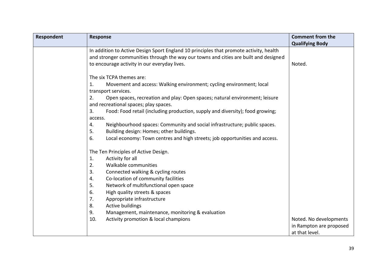| Respondent | <b>Response</b>                                                                        | <b>Comment from the</b><br><b>Qualifying Body</b> |
|------------|----------------------------------------------------------------------------------------|---------------------------------------------------|
|            | In addition to Active Design Sport England 10 principles that promote activity, health |                                                   |
|            | and stronger communities through the way our towns and cities are built and designed   |                                                   |
|            | to encourage activity in our everyday lives.                                           | Noted.                                            |
|            |                                                                                        |                                                   |
|            | The six TCPA themes are:                                                               |                                                   |
|            | 1.<br>Movement and access: Walking environment; cycling environment; local             |                                                   |
|            | transport services.                                                                    |                                                   |
|            | 2.<br>Open spaces, recreation and play: Open spaces; natural environment; leisure      |                                                   |
|            | and recreational spaces; play spaces.                                                  |                                                   |
|            | 3.<br>Food: Food retail (including production, supply and diversity); food growing;    |                                                   |
|            | access.                                                                                |                                                   |
|            | Neighbourhood spaces: Community and social infrastructure; public spaces.<br>4.        |                                                   |
|            | 5.<br>Building design: Homes; other buildings.                                         |                                                   |
|            | Local economy: Town centres and high streets; job opportunities and access.<br>6.      |                                                   |
|            | The Ten Principles of Active Design.                                                   |                                                   |
|            | 1.<br>Activity for all                                                                 |                                                   |
|            | 2.<br>Walkable communities                                                             |                                                   |
|            | 3.<br>Connected walking & cycling routes                                               |                                                   |
|            | Co-location of community facilities<br>4.                                              |                                                   |
|            | 5.<br>Network of multifunctional open space                                            |                                                   |
|            | 6.<br>High quality streets & spaces                                                    |                                                   |
|            | 7.<br>Appropriate infrastructure                                                       |                                                   |
|            | 8.<br>Active buildings                                                                 |                                                   |
|            | 9.<br>Management, maintenance, monitoring & evaluation                                 |                                                   |
|            | 10.<br>Activity promotion & local champions                                            | Noted. No developments                            |
|            |                                                                                        | in Rampton are proposed                           |
|            |                                                                                        | at that level.                                    |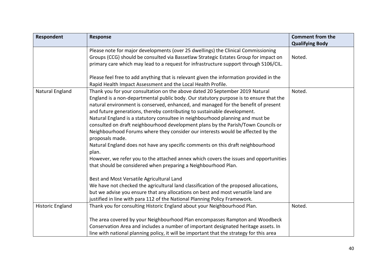| Respondent              | <b>Response</b>                                                                                    | <b>Comment from the</b><br><b>Qualifying Body</b> |
|-------------------------|----------------------------------------------------------------------------------------------------|---------------------------------------------------|
|                         | Please note for major developments (over 25 dwellings) the Clinical Commissioning                  |                                                   |
|                         | Groups (CCG) should be consulted via Bassetlaw Strategic Estates Group for impact on               | Noted.                                            |
|                         | primary care which may lead to a request for infrastructure support through S106/CIL.              |                                                   |
|                         | Please feel free to add anything that is relevant given the information provided in the            |                                                   |
|                         | Rapid Health Impact Assessment and the Local Health Profile.                                       |                                                   |
| Natural England         | Thank you for your consultation on the above dated 20 September 2019 Natural                       | Noted.                                            |
|                         | England is a non-departmental public body. Our statutory purpose is to ensure that the             |                                                   |
|                         | natural environment is conserved, enhanced, and managed for the benefit of present                 |                                                   |
|                         | and future generations, thereby contributing to sustainable development.                           |                                                   |
|                         | Natural England is a statutory consultee in neighbourhood planning and must be                     |                                                   |
|                         | consulted on draft neighbourhood development plans by the Parish/Town Councils or                  |                                                   |
|                         | Neighbourhood Forums where they consider our interests would be affected by the<br>proposals made. |                                                   |
|                         | Natural England does not have any specific comments on this draft neighbourhood                    |                                                   |
|                         | plan.                                                                                              |                                                   |
|                         | However, we refer you to the attached annex which covers the issues and opportunities              |                                                   |
|                         | that should be considered when preparing a Neighbourhood Plan.                                     |                                                   |
|                         | Best and Most Versatile Agricultural Land                                                          |                                                   |
|                         | We have not checked the agricultural land classification of the proposed allocations,              |                                                   |
|                         | but we advise you ensure that any allocations on best and most versatile land are                  |                                                   |
|                         | justified in line with para 112 of the National Planning Policy Framework.                         |                                                   |
| <b>Historic England</b> | Thank you for consulting Historic England about your Neighbourhood Plan.                           | Noted.                                            |
|                         | The area covered by your Neighbourhood Plan encompasses Rampton and Woodbeck                       |                                                   |
|                         | Conservation Area and includes a number of important designated heritage assets. In                |                                                   |
|                         | line with national planning policy, it will be important that the strategy for this area           |                                                   |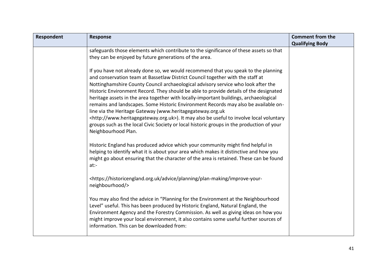| Respondent | <b>Response</b>                                                                                                                                                                                                                                                                                                                                                                                                                                                                                                                                                                                                                                                                                                                                                                                                           | <b>Comment from the</b> |
|------------|---------------------------------------------------------------------------------------------------------------------------------------------------------------------------------------------------------------------------------------------------------------------------------------------------------------------------------------------------------------------------------------------------------------------------------------------------------------------------------------------------------------------------------------------------------------------------------------------------------------------------------------------------------------------------------------------------------------------------------------------------------------------------------------------------------------------------|-------------------------|
|            |                                                                                                                                                                                                                                                                                                                                                                                                                                                                                                                                                                                                                                                                                                                                                                                                                           | <b>Qualifying Body</b>  |
|            | safeguards those elements which contribute to the significance of these assets so that                                                                                                                                                                                                                                                                                                                                                                                                                                                                                                                                                                                                                                                                                                                                    |                         |
|            | they can be enjoyed by future generations of the area.                                                                                                                                                                                                                                                                                                                                                                                                                                                                                                                                                                                                                                                                                                                                                                    |                         |
|            | If you have not already done so, we would recommend that you speak to the planning<br>and conservation team at Bassetlaw District Council together with the staff at<br>Nottinghamshire County Council archaeological advisory service who look after the<br>Historic Environment Record. They should be able to provide details of the designated<br>heritage assets in the area together with locally-important buildings, archaeological<br>remains and landscapes. Some Historic Environment Records may also be available on-<br>line via the Heritage Gateway (www.heritagegateway.org.uk<br><http: www.heritagegateway.org.uk="">). It may also be useful to involve local voluntary<br/>groups such as the local Civic Society or local historic groups in the production of your<br/>Neighbourhood Plan.</http:> |                         |
|            | Historic England has produced advice which your community might find helpful in<br>helping to identify what it is about your area which makes it distinctive and how you<br>might go about ensuring that the character of the area is retained. These can be found<br>at:                                                                                                                                                                                                                                                                                                                                                                                                                                                                                                                                                 |                         |
|            | <https: advice="" historicengland.org.uk="" improve-your-<br="" plan-making="" planning="">neighbourhood/&gt;</https:>                                                                                                                                                                                                                                                                                                                                                                                                                                                                                                                                                                                                                                                                                                    |                         |
|            | You may also find the advice in "Planning for the Environment at the Neighbourhood<br>Level" useful. This has been produced by Historic England, Natural England, the<br>Environment Agency and the Forestry Commission. As well as giving ideas on how you<br>might improve your local environment, it also contains some useful further sources of<br>information. This can be downloaded from:                                                                                                                                                                                                                                                                                                                                                                                                                         |                         |